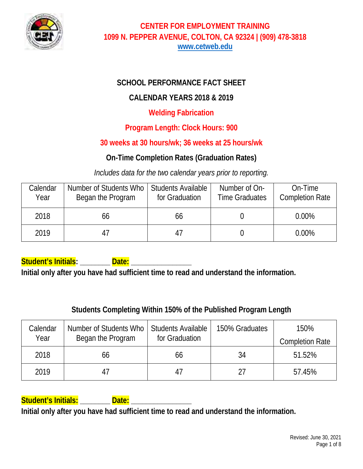

# **SCHOOL PERFORMANCE FACT SHEET**

# **CALENDAR YEARS 2018 & 2019**

### **Welding Fabrication**

# **Program Length: Clock Hours: 900**

# **30 weeks at 30 hours/wk; 36 weeks at 25 hours/wk**

# **On-Time Completion Rates (Graduation Rates)**

*Includes data for the two calendar years prior to reporting.*

| Calendar<br>Year | Number of Students Who<br>Began the Program | <b>Students Available</b><br>for Graduation | Number of On-<br><b>Time Graduates</b> | On-Time<br><b>Completion Rate</b> |
|------------------|---------------------------------------------|---------------------------------------------|----------------------------------------|-----------------------------------|
| 2018             | 66                                          | 66                                          |                                        | $0.00\%$                          |
| 2019             |                                             |                                             |                                        | $0.00\%$                          |

**Student's Initials: \_\_\_\_\_\_\_\_ Date: \_\_\_\_\_\_\_\_\_\_\_\_\_\_\_\_** 

**Initial only after you have had sufficient time to read and understand the information.** 

# **Students Completing Within 150% of the Published Program Length**

| Calendar | Number of Students Who | <b>Students Available</b> | 150% Graduates | 150%                   |
|----------|------------------------|---------------------------|----------------|------------------------|
| Year     | Began the Program      | for Graduation            |                | <b>Completion Rate</b> |
| 2018     | 66                     | 66                        | 34             | 51.52%                 |
| 2019     |                        |                           | 27             | 57.45%                 |

# **Student's Initials: \_\_\_\_\_\_\_\_ Date: \_\_\_\_\_\_\_\_\_\_\_\_\_\_\_\_**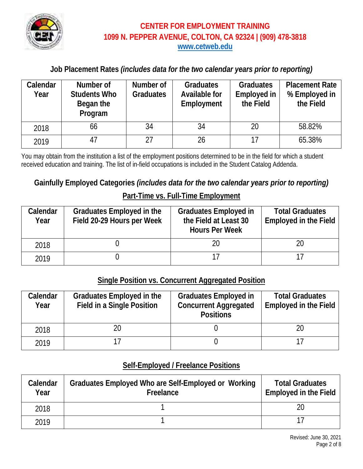

### **Job Placement Rates** *(includes data for the two calendar years prior to reporting)*

| Calendar<br>Year | Number of<br><b>Students Who</b><br>Began the<br>Program | Number of<br><b>Graduates</b> | <b>Graduates</b><br><b>Available for</b><br>Employment | <b>Graduates</b><br>Employed in<br>the Field | <b>Placement Rate</b><br>% Employed in<br>the Field |
|------------------|----------------------------------------------------------|-------------------------------|--------------------------------------------------------|----------------------------------------------|-----------------------------------------------------|
| 2018             | 66                                                       | 34                            | 34                                                     | 20                                           | 58.82%                                              |
| 2019             | 47                                                       | 27                            | 26                                                     | 17                                           | 65.38%                                              |

You may obtain from the institution a list of the employment positions determined to be in the field for which a student received education and training. The list of in-field occupations is included in the Student Catalog Addenda.

### **Gainfully Employed Categories** *(includes data for the two calendar years prior to reporting)*

#### **Part-Time vs. Full-Time Employment**

| Calendar<br>Year | Graduates Employed in the<br>Field 20-29 Hours per Week | <b>Graduates Employed in</b><br>the Field at Least 30<br><b>Hours Per Week</b> | <b>Total Graduates</b><br>Employed in the Field |
|------------------|---------------------------------------------------------|--------------------------------------------------------------------------------|-------------------------------------------------|
| 2018             |                                                         |                                                                                |                                                 |
| 2019             |                                                         |                                                                                |                                                 |

#### **Single Position vs. Concurrent Aggregated Position**

| Calendar<br>Year | Graduates Employed in the<br><b>Field in a Single Position</b> | <b>Graduates Employed in</b><br><b>Concurrent Aggregated</b><br><b>Positions</b> | <b>Total Graduates</b><br><b>Employed in the Field</b> |
|------------------|----------------------------------------------------------------|----------------------------------------------------------------------------------|--------------------------------------------------------|
| 2018             | 20                                                             |                                                                                  |                                                        |
| 2019             |                                                                |                                                                                  |                                                        |

### **Self-Employed / Freelance Positions**

| Calendar<br>Year | Graduates Employed Who are Self-Employed or Working<br>Freelance | <b>Total Graduates</b><br><b>Employed in the Field</b> |
|------------------|------------------------------------------------------------------|--------------------------------------------------------|
| 2018             |                                                                  |                                                        |
| 2019             |                                                                  |                                                        |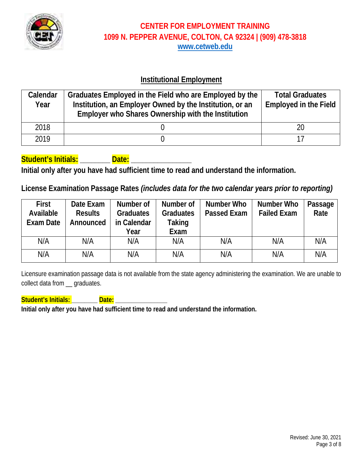

### **Institutional Employment**

| Calendar<br>Year | Graduates Employed in the Field who are Employed by the<br>Institution, an Employer Owned by the Institution, or an<br>Employer who Shares Ownership with the Institution | <b>Total Graduates</b><br><b>Employed in the Field</b> |
|------------------|---------------------------------------------------------------------------------------------------------------------------------------------------------------------------|--------------------------------------------------------|
| 2018             |                                                                                                                                                                           | 20                                                     |
| 2019             |                                                                                                                                                                           |                                                        |

### **Student's Initials: \_\_\_\_\_\_\_\_ Date: \_\_\_\_\_\_\_\_\_\_\_\_\_\_\_\_**

**Initial only after you have had sufficient time to read and understand the information.**

### **License Examination Passage Rates** *(includes data for the two calendar years prior to reporting)*

| <b>First</b><br>Available<br>Exam Date | Date Exam<br><b>Results</b><br>Announced | Number of<br><b>Graduates</b><br>in Calendar<br>Year | Number of<br><b>Graduates</b><br>Taking<br>Exam | Number Who<br><b>Passed Exam</b> | Number Who<br><b>Failed Exam</b> | Passage<br>Rate |
|----------------------------------------|------------------------------------------|------------------------------------------------------|-------------------------------------------------|----------------------------------|----------------------------------|-----------------|
| N/A                                    | N/A                                      | N/A                                                  | N/A                                             | N/A                              | N/A                              | N/A             |
| N/A                                    | N/A                                      | N/A                                                  | N/A                                             | N/A                              | N/A                              | N/A             |

Licensure examination passage data is not available from the state agency administering the examination. We are unable to collect data from \_\_ graduates.

**Student's Initials: \_\_\_\_\_\_\_\_ Date: \_\_\_\_\_\_\_\_\_\_\_\_\_\_\_\_**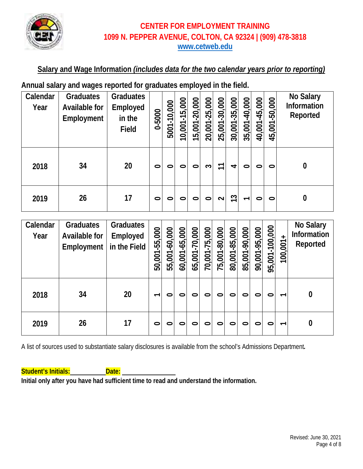

### **Salary and Wage Information** *(includes data for the two calendar years prior to reporting)*

**Annual salary and wages reported for graduates employed in the field.**

| Calendar<br>Year | <b>Graduates</b><br>Available for<br>Employment | <b>Graduates</b><br>Employed<br>in the<br><b>Field</b> | 0-5000  | 5001-10,000 | 10,001-15,000 | 15,001-20,000 | 20,001-25,000 | 25,001-30,000 | 30,001-35,000 | 35,001-40,000            | 40,001-45,000 | 45,001-50,000 | <b>No Salary</b><br>Information<br>Reported |
|------------------|-------------------------------------------------|--------------------------------------------------------|---------|-------------|---------------|---------------|---------------|---------------|---------------|--------------------------|---------------|---------------|---------------------------------------------|
| 2018             | 34                                              | 20                                                     | $\circ$ | $\circ$     | 0             | ⊂             | S             | T             | 4             | 0                        | 0             | 0             | $\boldsymbol{0}$                            |
| 2019             | 26                                              | 17                                                     | $\circ$ | $\circ$     | $\circ$       | $\circ$       | $\circ$       | $\sim$        | 13            | $\overline{\phantom{0}}$ | 0             | 0             | 0                                           |

| Calendar<br>Year | <b>Graduates</b><br>Available for<br>Employment | Graduates<br>Employed<br>in the Field | 50,001-55,000            | 55,001-60,000 | 60,001-65,000 | 65,001-70,000 | 70,001-75,000 | 75,001-80,000 | 80,001-85,000 | 85,001-90,000 | 90,001-95,000 | 95,001-100,000 | $\ddot{}$<br>100,001     | <b>No Salary</b><br>Information<br>Reported |
|------------------|-------------------------------------------------|---------------------------------------|--------------------------|---------------|---------------|---------------|---------------|---------------|---------------|---------------|---------------|----------------|--------------------------|---------------------------------------------|
| 2018             | 34                                              | 20                                    | $\overline{\phantom{0}}$ | 0             | 0             | 0             | 0             | 0             | 0             | 0             | 0             | 0              | $\overline{\phantom{0}}$ | $\bf{0}$                                    |
| 2019             | 26                                              | 17                                    | $\bullet$                | 0             | 0             | 0             | 0             | 0             | 0             | 0             | 0             | 0              | $\overline{\phantom{0}}$ | 0                                           |

A list of sources used to substantiate salary disclosures is available from the school's Admissions Department*.* 

**Student's Initials: Date: Date:**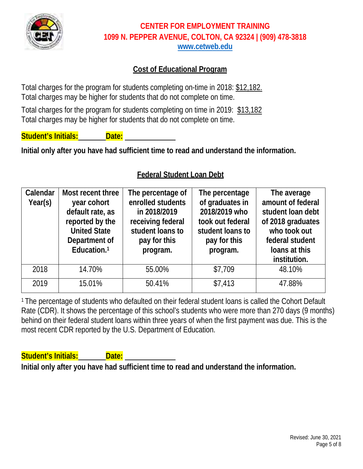

# **Cost of Educational Program**

Total charges for the program for students completing on-time in 2018: \$12,182. Total charges may be higher for students that do not complete on time.

Total charges for the program for students completing on time in 2019: \$13,182 Total charges may be higher for students that do not complete on time.

**Student's Initials: Date:** 

**Initial only after you have had sufficient time to read and understand the information.**

### **Federal Student Loan Debt**

| Calendar<br>Year(s) | Most recent three<br>year cohort<br>default rate, as<br>reported by the<br><b>United State</b><br>Department of<br>Education. <sup>1</sup> | The percentage of<br>enrolled students<br>in 2018/2019<br>receiving federal<br>student loans to<br>pay for this<br>program. | The percentage<br>of graduates in<br>2018/2019 who<br>took out federal<br>student loans to<br>pay for this<br>program. | The average<br>amount of federal<br>student loan debt<br>of 2018 graduates<br>who took out<br>federal student<br>loans at this<br>institution. |
|---------------------|--------------------------------------------------------------------------------------------------------------------------------------------|-----------------------------------------------------------------------------------------------------------------------------|------------------------------------------------------------------------------------------------------------------------|------------------------------------------------------------------------------------------------------------------------------------------------|
| 2018                | 14.70%                                                                                                                                     | 55.00%                                                                                                                      | \$7,709                                                                                                                | 48.10%                                                                                                                                         |
| 2019                | 15.01%                                                                                                                                     | 50.41%                                                                                                                      | \$7,413                                                                                                                | 47.88%                                                                                                                                         |

<sup>1</sup> The percentage of students who defaulted on their federal student loans is called the Cohort Default Rate (CDR). It shows the percentage of this school's students who were more than 270 days (9 months) behind on their federal student loans within three years of when the first payment was due. This is the most recent CDR reported by the U.S. Department of Education.

**Student's Initials: Communist Contract Date:**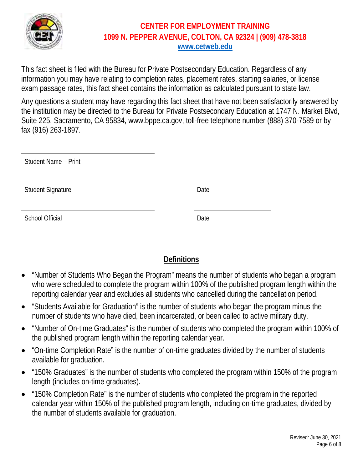

This fact sheet is filed with the Bureau for Private Postsecondary Education. Regardless of any information you may have relating to completion rates, placement rates, starting salaries, or license exam passage rates, this fact sheet contains the information as calculated pursuant to state law.

Any questions a student may have regarding this fact sheet that have not been satisfactorily answered by the institution may be directed to the Bureau for Private Postsecondary Education at 1747 N. Market Blvd, Suite 225, Sacramento, CA 95834, www.bppe.ca.gov, toll-free telephone number (888) 370-7589 or by fax (916) 263-1897.

| Student Name - Print     |      |
|--------------------------|------|
| <b>Student Signature</b> | Date |
| <b>School Official</b>   | Date |

# **Definitions**

- "Number of Students Who Began the Program" means the number of students who began a program who were scheduled to complete the program within 100% of the published program length within the reporting calendar year and excludes all students who cancelled during the cancellation period.
- "Students Available for Graduation" is the number of students who began the program minus the number of students who have died, been incarcerated, or been called to active military duty.
- "Number of On-time Graduates" is the number of students who completed the program within 100% of the published program length within the reporting calendar year.
- "On-time Completion Rate" is the number of on-time graduates divided by the number of students available for graduation.
- "150% Graduates" is the number of students who completed the program within 150% of the program length (includes on-time graduates).
- "150% Completion Rate" is the number of students who completed the program in the reported calendar year within 150% of the published program length, including on-time graduates, divided by the number of students available for graduation.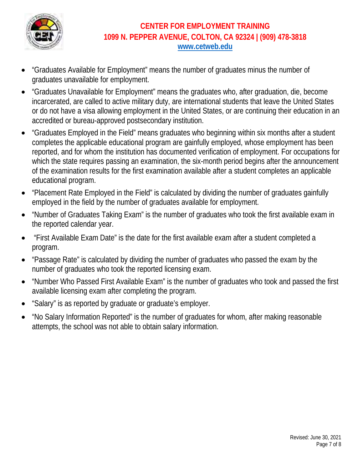

- "Graduates Available for Employment" means the number of graduates minus the number of graduates unavailable for employment.
- "Graduates Unavailable for Employment" means the graduates who, after graduation, die, become incarcerated, are called to active military duty, are international students that leave the United States or do not have a visa allowing employment in the United States, or are continuing their education in an accredited or bureau-approved postsecondary institution.
- "Graduates Employed in the Field" means graduates who beginning within six months after a student completes the applicable educational program are gainfully employed, whose employment has been reported, and for whom the institution has documented verification of employment. For occupations for which the state requires passing an examination, the six-month period begins after the announcement of the examination results for the first examination available after a student completes an applicable educational program.
- "Placement Rate Employed in the Field" is calculated by dividing the number of graduates gainfully employed in the field by the number of graduates available for employment.
- "Number of Graduates Taking Exam" is the number of graduates who took the first available exam in the reported calendar year.
- "First Available Exam Date" is the date for the first available exam after a student completed a program.
- "Passage Rate" is calculated by dividing the number of graduates who passed the exam by the number of graduates who took the reported licensing exam.
- "Number Who Passed First Available Exam" is the number of graduates who took and passed the first available licensing exam after completing the program.
- "Salary" is as reported by graduate or graduate's employer.
- "No Salary Information Reported" is the number of graduates for whom, after making reasonable attempts, the school was not able to obtain salary information.